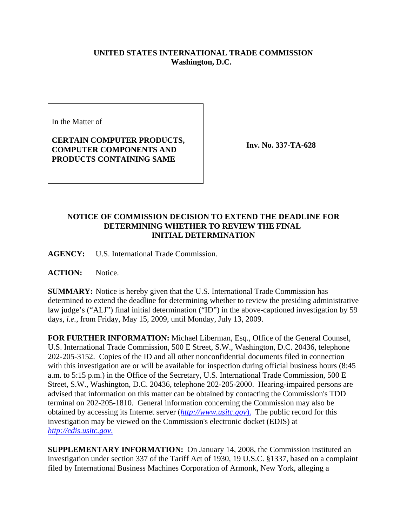## **UNITED STATES INTERNATIONAL TRADE COMMISSION Washington, D.C.**

In the Matter of

## **CERTAIN COMPUTER PRODUCTS, COMPUTER COMPONENTS AND PRODUCTS CONTAINING SAME**

**Inv. No. 337-TA-628**

## **NOTICE OF COMMISSION DECISION TO EXTEND THE DEADLINE FOR DETERMINING WHETHER TO REVIEW THE FINAL INITIAL DETERMINATION**

**AGENCY:** U.S. International Trade Commission.

**ACTION:** Notice.

**SUMMARY:** Notice is hereby given that the U.S. International Trade Commission has determined to extend the deadline for determining whether to review the presiding administrative law judge's ("ALJ") final initial determination ("ID") in the above-captioned investigation by 59 days, *i.e.*, from Friday, May 15, 2009, until Monday, July 13, 2009.

**FOR FURTHER INFORMATION:** Michael Liberman, Esq., Office of the General Counsel, U.S. International Trade Commission, 500 E Street, S.W., Washington, D.C. 20436, telephone 202-205-3152. Copies of the ID and all other nonconfidential documents filed in connection with this investigation are or will be available for inspection during official business hours (8:45 a.m. to 5:15 p.m.) in the Office of the Secretary, U.S. International Trade Commission, 500 E Street, S.W., Washington, D.C. 20436, telephone 202-205-2000. Hearing-impaired persons are advised that information on this matter can be obtained by contacting the Commission's TDD terminal on 202-205-1810. General information concerning the Commission may also be obtained by accessing its Internet server (*http://www.usitc.gov*). The public record for this investigation may be viewed on the Commission's electronic docket (EDIS) at *http://edis.usitc.gov*.

**SUPPLEMENTARY INFORMATION:** On January 14, 2008, the Commission instituted an investigation under section 337 of the Tariff Act of 1930, 19 U.S.C. §1337, based on a complaint filed by International Business Machines Corporation of Armonk, New York, alleging a